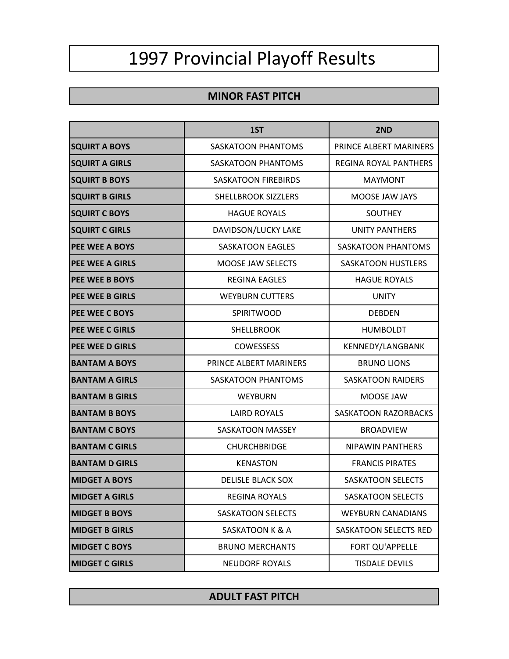## 1997 Provincial Playoff Results

## **MINOR FAST PITCH**

|                        | 1ST                        | 2ND                          |
|------------------------|----------------------------|------------------------------|
| <b>SQUIRT A BOYS</b>   | <b>SASKATOON PHANTOMS</b>  | PRINCE ALBERT MARINERS       |
| <b>SQUIRT A GIRLS</b>  | <b>SASKATOON PHANTOMS</b>  | <b>REGINA ROYAL PANTHERS</b> |
| <b>SQUIRT B BOYS</b>   | <b>SASKATOON FIREBIRDS</b> | <b>MAYMONT</b>               |
| <b>SQUIRT B GIRLS</b>  | SHELLBROOK SIZZLERS        | MOOSE JAW JAYS               |
| <b>SQUIRT C BOYS</b>   | <b>HAGUE ROYALS</b>        | <b>SOUTHEY</b>               |
| <b>SQUIRT C GIRLS</b>  | DAVIDSON/LUCKY LAKE        | <b>UNITY PANTHERS</b>        |
| <b>PEE WEE A BOYS</b>  | <b>SASKATOON EAGLES</b>    | <b>SASKATOON PHANTOMS</b>    |
| <b>PEE WEE A GIRLS</b> | <b>MOOSE JAW SELECTS</b>   | <b>SASKATOON HUSTLERS</b>    |
| <b>PEE WEE B BOYS</b>  | <b>REGINA EAGLES</b>       | <b>HAGUE ROYALS</b>          |
| <b>PEE WEE B GIRLS</b> | <b>WEYBURN CUTTERS</b>     | <b>UNITY</b>                 |
| <b>PEE WEE C BOYS</b>  | <b>SPIRITWOOD</b>          | <b>DEBDEN</b>                |
| <b>PEE WEE C GIRLS</b> | <b>SHELLBROOK</b>          | <b>HUMBOLDT</b>              |
| PEE WEE D GIRLS        | <b>COWESSESS</b>           | KENNEDY/LANGBANK             |
| <b>BANTAM A BOYS</b>   | PRINCE ALBERT MARINERS     | <b>BRUNO LIONS</b>           |
| <b>BANTAM A GIRLS</b>  | SASKATOON PHANTOMS         | <b>SASKATOON RAIDERS</b>     |
| <b>BANTAM B GIRLS</b>  | <b>WEYBURN</b>             | MOOSE JAW                    |
| <b>BANTAM B BOYS</b>   | <b>LAIRD ROYALS</b>        | <b>SASKATOON RAZORBACKS</b>  |
| <b>BANTAM C BOYS</b>   | <b>SASKATOON MASSEY</b>    | <b>BROADVIEW</b>             |
| <b>BANTAM C GIRLS</b>  | <b>CHURCHBRIDGE</b>        | <b>NIPAWIN PANTHERS</b>      |
| <b>BANTAM D GIRLS</b>  | <b>KENASTON</b>            | <b>FRANCIS PIRATES</b>       |
| <b>MIDGET A BOYS</b>   | <b>DELISLE BLACK SOX</b>   | <b>SASKATOON SELECTS</b>     |
| <b>MIDGET A GIRLS</b>  | <b>REGINA ROYALS</b>       | <b>SASKATOON SELECTS</b>     |
| <b>MIDGET B BOYS</b>   | <b>SASKATOON SELECTS</b>   | <b>WEYBURN CANADIANS</b>     |
| <b>MIDGET B GIRLS</b>  | SASKATOON K & A            | <b>SASKATOON SELECTS RED</b> |
| <b>MIDGET C BOYS</b>   | <b>BRUNO MERCHANTS</b>     | FORT QU'APPELLE              |
| <b>MIDGET C GIRLS</b>  | <b>NEUDORF ROYALS</b>      | <b>TISDALE DEVILS</b>        |

## **ADULT FAST PITCH**